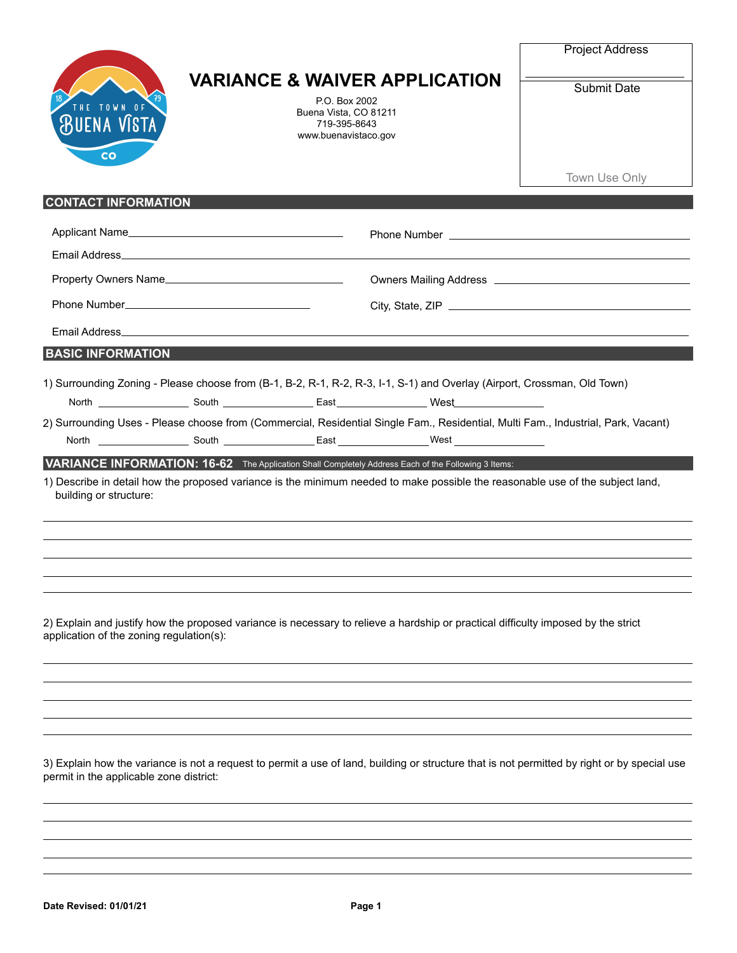| 18<br>THE TOWN OF<br><b>BUENA VISTA</b> |
|-----------------------------------------|
| co                                      |

## **VARIANCE & WAIVER APPLICATION**

P.O. Box 2002 Buena Vista, CO 81211 719-395-8643 www.buenavistaco.gov Project Address

Submit Date

Town Use Only

## **CONTACT INFORMATION**

|                                                                                                                                   | Applicant Name       |  |                                                                                                                 |  |  |  |
|-----------------------------------------------------------------------------------------------------------------------------------|----------------------|--|-----------------------------------------------------------------------------------------------------------------|--|--|--|
|                                                                                                                                   |                      |  |                                                                                                                 |  |  |  |
|                                                                                                                                   | Property Owners Name |  |                                                                                                                 |  |  |  |
|                                                                                                                                   |                      |  |                                                                                                                 |  |  |  |
|                                                                                                                                   |                      |  |                                                                                                                 |  |  |  |
| <b>BASIC INFORMATION</b>                                                                                                          |                      |  |                                                                                                                 |  |  |  |
| 1) Surrounding Zoning - Please choose from (B-1, B-2, R-1, R-2, R-3, I-1, S-1) and Overlay (Airport, Crossman, Old Town)          |                      |  |                                                                                                                 |  |  |  |
|                                                                                                                                   |                      |  | North North South East North West                                                                               |  |  |  |
| 2) Surrounding Uses - Please choose from (Commercial, Residential Single Fam., Residential, Multi Fam., Industrial, Park, Vacant) |                      |  |                                                                                                                 |  |  |  |
|                                                                                                                                   |                      |  | North North North South Communication Control of South Communication Control Control Control Control Control Co |  |  |  |
|                                                                                                                                   |                      |  | VARIANCE INFORMATION: 16-62 The Application Shall Completely Address Each of the Following 3 Items:             |  |  |  |

1) Describe in detail how the proposed variance is the minimum needed to make possible the reasonable use of the subject land, building or structure:

2) Explain and justify how the proposed variance is necessary to relieve a hardship or practical difficulty imposed by the strict application of the zoning regulation(s):

3) Explain how the variance is not a request to permit a use of land, building or structure that is not permitted by right or by special use permit in the applicable zone district: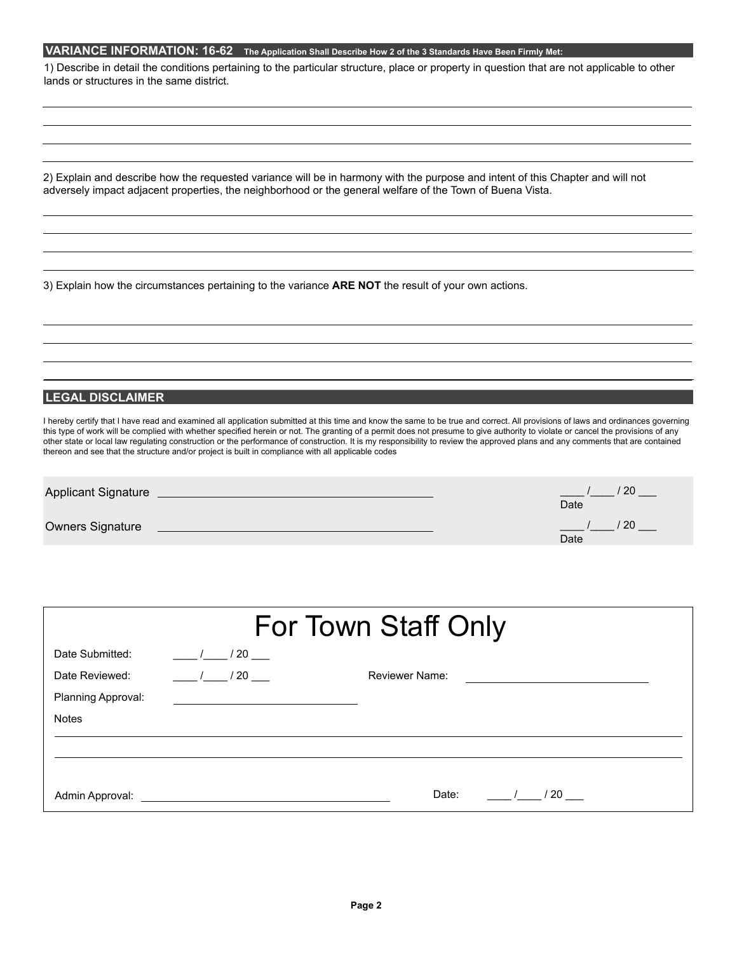## **VARIANCE INFORMATION: 16-62 The Application Shall Describe How 2 of the 3 Standards Have Been Firmly Met:**

1) Describe in detail the conditions pertaining to the particular structure, place or property in question that are not applicable to other lands or structures in the same district.

2) Explain and describe how the requested variance will be in harmony with the purpose and intent of this Chapter and will not adversely impact adjacent properties, the neighborhood or the general welfare of the Town of Buena Vista.

3) Explain how the circumstances pertaining to the variance **ARE NOT** the result of your own actions.

## **LEGAL DISCLAIMER**

I hereby certify that I have read and examined all application submitted at this time and know the same to be true and correct. All provisions of laws and ordinances governing this type of work will be complied with whether specified herein or not. The granting of a permit does not presume to give authority to violate or cancel the provisions of any other state or local law regulating construction or the performance of construction. It is my responsibility to review the approved plans and any comments that are contained thereon and see that the structure and/or project is built in compliance with all applicable codes

| <b>Applicant Signature</b> | -20<br>Date  |
|----------------------------|--------------|
| <b>Owners Signature</b>    | ' 20<br>Date |

| For Town Staff Only |                                                                                                                       |                |  |  |  |  |  |
|---------------------|-----------------------------------------------------------------------------------------------------------------------|----------------|--|--|--|--|--|
| Date Submitted:     | $\frac{1}{20}$                                                                                                        |                |  |  |  |  |  |
| Date Reviewed:      | 1/20                                                                                                                  | Reviewer Name: |  |  |  |  |  |
| Planning Approval:  |                                                                                                                       |                |  |  |  |  |  |
| <b>Notes</b>        |                                                                                                                       |                |  |  |  |  |  |
|                     |                                                                                                                       |                |  |  |  |  |  |
|                     |                                                                                                                       |                |  |  |  |  |  |
| Admin Approval:     | <u>and the state of the state of the state of the state of the state of the state of the state of the state of th</u> | Date:<br>/ 20  |  |  |  |  |  |